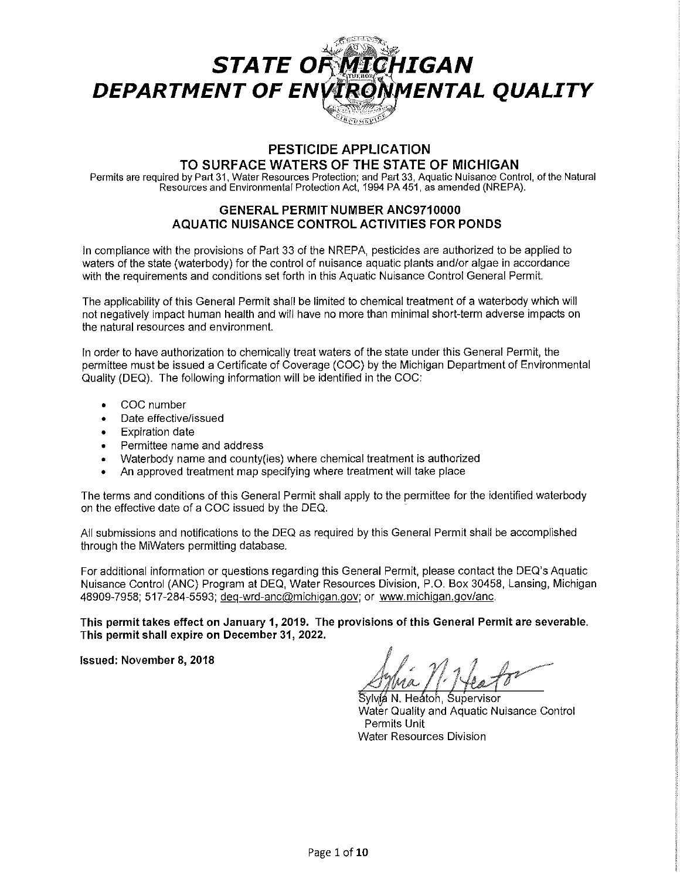

# **PESTICIDE APPLICATION TO SURFACE WATERS OF THE STATE OF MICHIGAN**

Permits are required by Part 31, Water Resources Protection; and Part 33, Aquatic Nuisance Control, of the Natural Resources and Environmental Protection Act, 1994 PA 451, as amended (NREPA).

# **GENERAL PERMIT NUMBER ANC9710000 AQUATIC NUISANCE CONTROL ACTIVITIES FOR PONDS**

In compliance with the provisions of Part 33 of the NREPA, pesticides are authorized to be applied to waters of the state (waterbody) for the control of nuisance aquatic plants and/or algae in accordance with the requirements and conditions set forth in this Aquatic Nuisance Control General Permit.

The applicability of this General Permit shall be limited to chemical treatment of a waterbody which will not negatively impact human health and will have no more than minimal short-term adverse impacts on the natural resources and environment.

In order to have authorization to chemically treat waters of the state under this General Permit, the permittee must be issued a Certificate of Coverage (COG) by the Michigan Department of Environmental Quality (DEQ). The following information will be identified in the COG:

- COG number
- Date effective/issued
- Expiration date
- Permittee name and address
- Waterbody name and county(ies) where chemical treatment is authorized
- An approved treatment map specifying where treatment will take place

The terms and conditions of this General Permit shall apply to the permittee for the identified waterbody on the effective date of a COG issued by the DEQ.

All submissions and notifications to the DEQ as required by this General Permit shall be accomplished through the MiWaters permitting database.

For additional information or questions regarding this General Permit, please contact the DEQ's Aquatic Nuisance Control (ANG) Program at DEQ, Water Resources Division, P.O. Box 30458, Lansing, Michigan 48909-7958; 517-284-5593; deg-wrd-anc@michigan.gov; or www.michigan.gov/anc.

**This permit takes effect on January 1, 2019. The provisions of this General Permit are severable. This permit shall expire on December 31, 2022.** 

**Issued: November 8, 2018** 

Sylvíá N. Heátoh, Supervisor Water Quality and Aquatic Nuisance Control Permits Unit Water Resources Division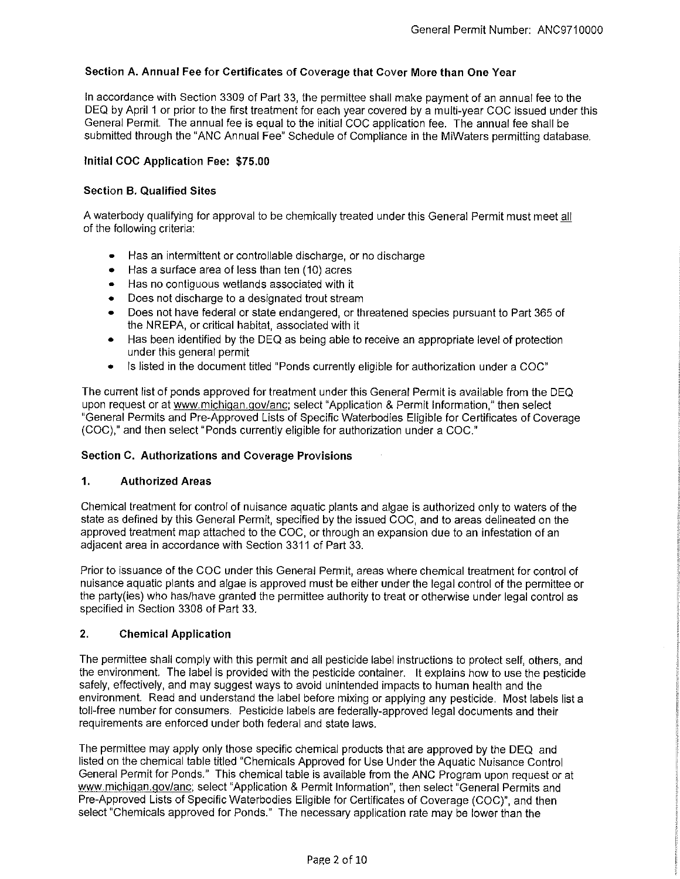# **Section A. Annual Fee for Certificates of Coverage that Cover More than One Year**

In accordance with Section 3309 of Part 33, the permittee shall make payment of an annual fee to the DEQ by April 1 or prior to the first treatment for each year covered by a multi-year COC issued under this General Permit. The annual fee is equal to the initial COC application fee. The annual fee shall be submitted through the "ANC Annual Fee" Schedule of Compliance in the MiWaters permitting database.

#### **Initial COC Application Fee: \$75.00**

#### **Section B. Qualified Sites**

A waterbody qualifying for approval to be chemically treated under this General Permit must meet all of the following criteria:

- Has an intermittent or controllable discharge, or no discharge
- Has a surface area of less than ten (10) acres
- Has no contiguous wetlands associated with it
- Does not discharge to a designated trout stream
- Does not have federal or state endangered, or threatened species pursuant to Part 365 of the NREPA, or critical habitat, associated with it
- Has been identified by the DEQ as being able to receive an appropriate level of protection under this general permit
- Is listed in the document titled "Ponds currently eligible for authorization under a COC"

The current list of ponds approved for treatment under this General Permit is available from the DEQ upon request or at www.michigan.gov/anc; select "Application & Permit Information," then select "General Permits and Pre-Approved Lists of Specific Waterbodies Eligible for Certificates of Coverage (COC)," and then select "Ponds currently eligible for authorization under a COC."

# **Section C. Authorizations and Coverage Provisions**

# **1. Authorized Areas**

Chemical treatment for control of nuisance aquatic plants and algae is authorized only to waters of the state as defined by this General Permit, specified by the issued COC, and to areas delineated on the approved treatment map attached to the COC, or through an expansion due to an infestation of an adjacent area in accordance with Section 3311 of Part 33.

Prior to issuance of the COC under this General Permit, areas where chemical treatment for control of nuisance aquatic plants and algae is approved must be either under the legal control of the permittee or the party(ies) who has/have granted the permittee authority to treat or otherwise under legal control as specified in Section 3308 of Part 33.

# **2. Chemical Application**

The permittee shall comply with this permit and all pesticide label instructions to protect self, others, and the environment. The label is provided with the pesticide container. It explains how to use the pesticide safely, effectively, and may suggest ways to avoid unintended impacts to human health and the environment. Read and understand the label before mixing or applying any pesticide. Most labels list a toll-free number for consumers. Pesticide labels are federally-approved legal documents and their requirements are enforced under both federal and state laws.

The permittee may apply only those specific chemical products that are approved by the DEQ and listed on the chemical table titled "Chemicals Approved for Use Under the Aquatic Nuisance Control General Permit for Ponds." This chemical table is available from the ANC Program upon request or at www.michigan.gov/anc; select "Application & Permit Information", then select "General Permits and Pre-Approved Lists of Specific Waterbodies Eligible for Certificates of Coverage (COC)", and then select "Chemicals approved for Ponds." The necessary application rate may be lower than the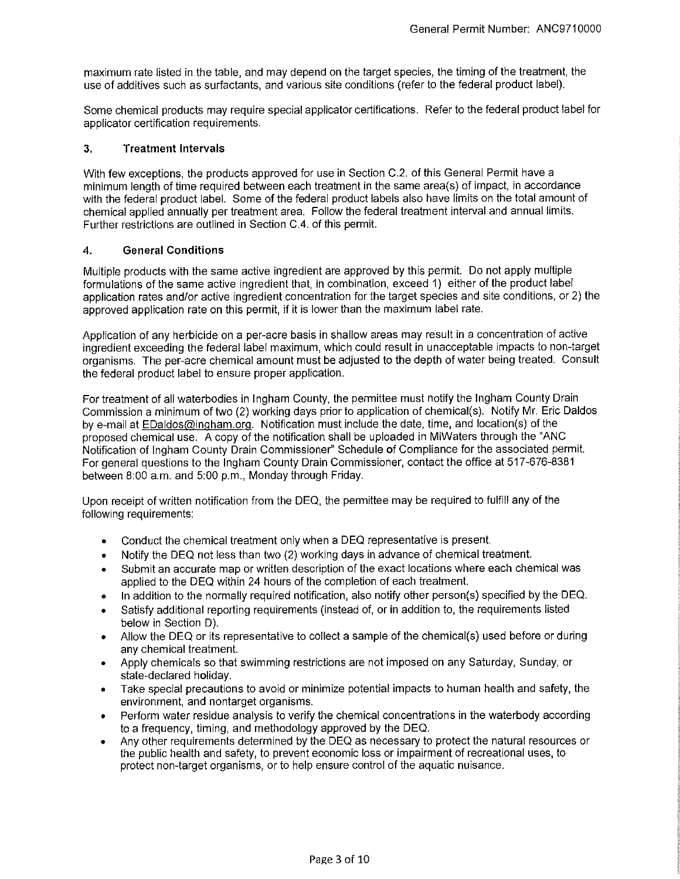maximum rate listed in the table, and may depend on the target species, the timing of the treatment, the use of additives such as surfactants, and various site conditions (refer to the federal product label).

Some chemical products may require special applicator certifications. Refer to the federal product label for applicator certification requirements.

# **3. Treatment Intervals**

With few exceptions, the products approved for use in Section C.2. of this General Permit have a minimum length of time required between each treatment in the same area(s) of impact, in accordance with the federal product label. Some of the federal product labels also have limits on the total amount of chemical applied annually per treatment area. Follow the federal treatment interval and annual limits. Further restrictions are outlined in Section C.4. of this permit.

#### **4. General Conditions**

Multiple products with the same active ingredient are approved by this permit. Do not apply multiple formulations of the same active ingredient that, in combination, exceed 1) either of the product label application rates and/or active ingredient concentration for the target species and site conditions, or 2) the approved application rate on this permit, if it is lower than the maximum label rate.

Application of any herbicide on a per-acre basis in shallow areas may result in a concentration of active ingredient exceeding the federal label maximum, which could result in unacceptable impacts to non-target organisms. The per-acre chemical amount must be adjusted to the depth of water being treated. Consult the federal product label to ensure proper application.

For treatment of all waterbodies in Ingham County, the permittee must notify the Ingham County Drain Commission a minimum of two (2) working days prior to application of chemical(s). Notify Mr. Eric Daldos by e-mail at EDaldos@ingham.org. Notification must include the date, time, and location(s) of the proposed chemical use. A copy of the notification shall be uploaded in MiWaters through the "ANC Notification of Ingham County Drain Commissioner" Schedule of Compliance for the associated permit. For general questions to the Ingham County Drain Commissioner, contact the office at 517-676-8381 between 8:00 a.m. and 5:00 p.m., Monday through Friday.

Upon receipt of written notification from the DEQ, the permittee may be required to fulfill any of the following requirements:

- Conduct the chemical treatment only when a DEQ representative is present.
- Notify the DEQ not less than two (2) working days in advance of chemical treatment.
- Submit an accurate map or written description of the exact locations where each chemical was applied to the DEQ within 24 hours of the completion of each treatment.
- In addition to the normally required notification, also notify other person(s) specified by the DEQ.
- Satisfy additional reporting requirements (instead of, or in addition to, the requirements listed below in Section D).
- Allow the DEQ or its representative to collect a sample of the chemical(s) used before or during any chemical treatment.
- Apply chemicals so that swimming restrictions are not imposed on any Saturday, Sunday, or state-declared holiday.
- Take special precautions to avoid or minimize potential impacts to human health and safety, the environment, and nontarget organisms.
- Perform water residue analysis to verify the chemical concentrations in the waterbody according to a frequency, timing, and methodology approved by the DEQ.
- Any other requirements determined by the DEQ as necessary to protect the natural resources or the public health and safety, to prevent economic loss or impairment of recreational uses, to protect non-target organisms, or to help ensure control of the aquatic nuisance.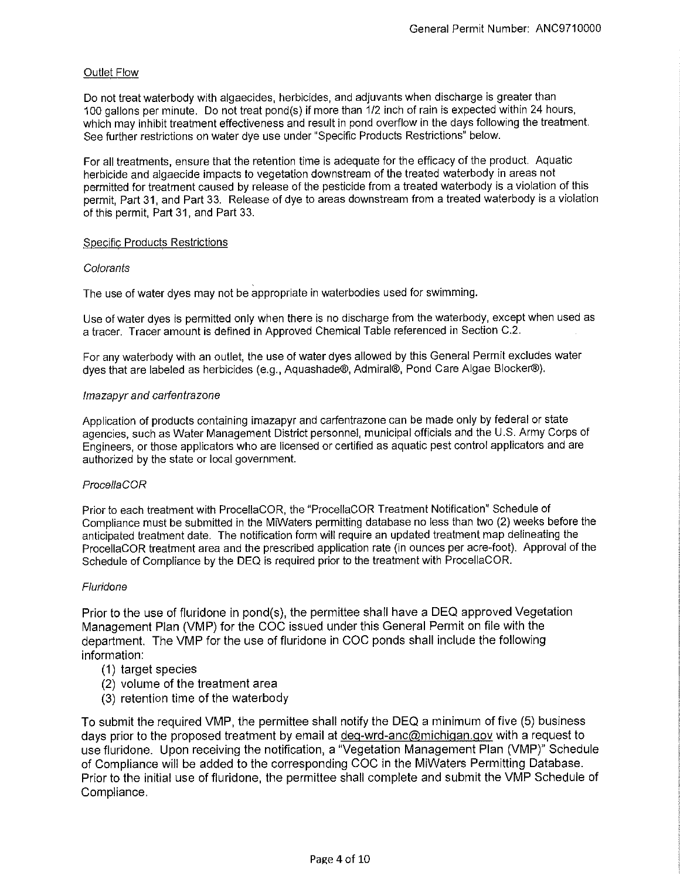# Outlet Flow

Do not treat waterbody with algaecides, herbicides, and adjuvants when discharge is greater than 100 gallons per minute. Do not treat pond(s) if more than 1/2 inch of rain is expected within 24 hours, which may inhibit treatment effectiveness and result in pond overflow in the days following the treatment. See further restrictions on water dye use under "Specific Products Restrictions" below.

For all treatments, ensure that the retention time is adequate for the efficacy of the product. Aquatic herbicide and algaecide impacts to vegetation downstream of the treated waterbody in areas not permitted for treatment caused by release of the pesticide from a treated waterbody is a violation of this permit, Part 31, and Part 33. Release of dye to areas downstream from a treated waterbody is a violation of this permit, Part 31, and Part 33.

# Specific Products Restrictions

# **Colorants**

The use of water dyes may not be appropriate in waterbodies used for swimming.

Use of water dyes is permitted only when there is no discharge from the waterbody, except when used as a tracer. Tracer amount is defined in Approved Chemical Table referenced in Section C.2.

For any waterbody with an outlet, the use of water dyes allowed by this General Permit excludes water dyes that are labeled as herbicides (e.g., Aquashade®, Admiral®, Pond Care Algae Blocker®).

# /mazapyr and carfentrazone

Application of products containing imazapyr and carfentrazone can be made only by federal or state agencies, such as Water Management District personnel, municipal officials and the U.S. Army Corps of Engineers, or those applicators who are licensed or certified as aquatic pest control applicators and are authorized by the state or local government.

# Procel/aCOR

Prior to each treatment with ProcellaCOR, the "ProcellaCOR Treatment Notification" Schedule of Compliance must be submitted in the MiWaters permitting database no less than two (2) weeks before the anticipated treatment date. The notification form will require an updated treatment map delineating the ProcellaCOR treatment area and the prescribed application rate (in ounces per acre-foot). Approval of the Schedule of Compliance by the DEQ is required prior to the treatment with ProcellaCOR.

# Fluridone

Prior to the use of fluridone in pond(s), the permittee shall have a DEQ approved Vegetation Management Plan (VMP) for the COC issued under this General Permit on file with the department. The VMP for the use of fluridone in COC ponds shall include the following information:

- (1) target species
- (2) volume of the treatment area
- (3) retention time of the waterbody

To submit the required VMP, the permittee shall notify the DEQ a minimum of five (5) business days prior to the proposed treatment by email at deq-wrd-anc@michigan.gov with a request to use fluridone. Upon receiving the notification, a "Vegetation Management Plan (VMP)" Schedule of Compliance will be added to the corresponding COC in the MiWaters Permitting Database. Prior to the initial use of fluridone, the permittee shall complete and submit the VMP Schedule of Compliance.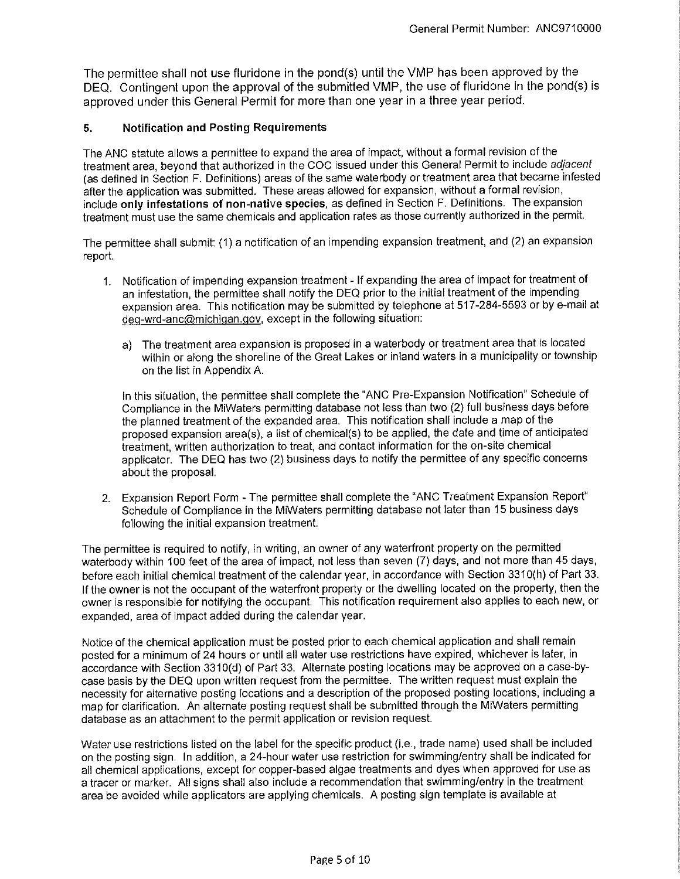The permittee shall not use fluridone in the pond(s) until the VMP has been approved by the DEQ. Contingent upon the approval of the submitted VMP, the use of fluridone in the pond(s) is approved under this General Permit for more than one year in a three year period.

# **5. Notification and Posting Requirements**

The ANG statute allows a permittee to expand the area of impact, without a formal revision of the treatment area, beyond that authorized in the COG issued under this General Permit to include adjacent (as defined in Section F. Definitions) areas of the same waterbody or treatment area that became infested after the application was submitted. These areas allowed for expansion, without a formal revision, include **only infestations of non-native species,** as defined in Section F. Definitions. The expansion treatment must use the same chemicals and application rates as those currently authorized in the permit.

The permittee shall submit: (1) a notification of an impending expansion treatment, and (2) an expansion report.

- 1. Notification of impending expansion treatment If expanding the area of impact for treatment of an infestation, the permittee shall notify the DEQ prior to the initial treatment of the impending expansion area. This notification may be submitted by telephone at 517-284-5593 or by e-mail at deq-wrd-anc@michigan.gov, except in the following situation:
	- a) The treatment area expansion is proposed in a waterbody or treatment area that is located within or along the shoreline of the Great Lakes or inland waters in a municipality or township on the list in Appendix A.

In this situation, the permittee shall complete the "ANG Pre-Expansion Notification" Schedule of Compliance in the MiWaters permitting database not less than two (2) full business days before the planned treatment of the expanded area. This notification shall include a map of the proposed expansion area(s), a list of chemical(s) to be applied, the date and time of anticipated treatment, written authorization to treat, and contact information for the on-site chemical applicator. The DEQ has two (2) business days to notify the permittee of any specific concerns about the proposal.

2. Expansion Report Form - The permittee shall complete the "ANG Treatment Expansion Report" Schedule of Compliance in the MiWaters permitting database not later than 15 business days following the initial expansion treatment.

The permittee is required to notify, in writing, an owner of any waterfront property on the permitted waterbody within 100 feet of the area of impact, not less than seven (7) days, and not more than 45 days, before each initial chemical treatment of the calendar year, in accordance with Section 3310(h) of Part 33. If the owner is not the occupant of the waterfront property or the dwelling located on the property, then the owner is responsible for notifying the occupant. This notification requirement also applies to each new, or expanded, area of impact added during the calendar year.

Notice of the chemical application must be posted prior to each chemical application and shall remain posted for a minimum of 24 hours or until all water use restrictions have expired, whichever is later, in accordance with Section 3310(d) of Part 33. Alternate posting locations may be approved on a case-bycase basis by the DEQ upon written request from the permittee. The written request must explain the necessity for alternative posting locations and a description of the proposed posting locations, including a map for clarification. An alternate posting request shall be submitted through the MiWaters permitting database as an attachment to the permit application or revision request.

Water use restrictions listed on the label for the specific product (i.e., trade name) used shall be included on the posting sign. In addition, a 24-hour water use restriction for swimming/entry shall be indicated for all chemical applications, except for copper-based algae treatments and dyes when approved for use as a tracer or marker. All signs shall also include a recommendation that swimming/entry in the treatment area be avoided while applicators are applying chemicals. A posting sign template is available at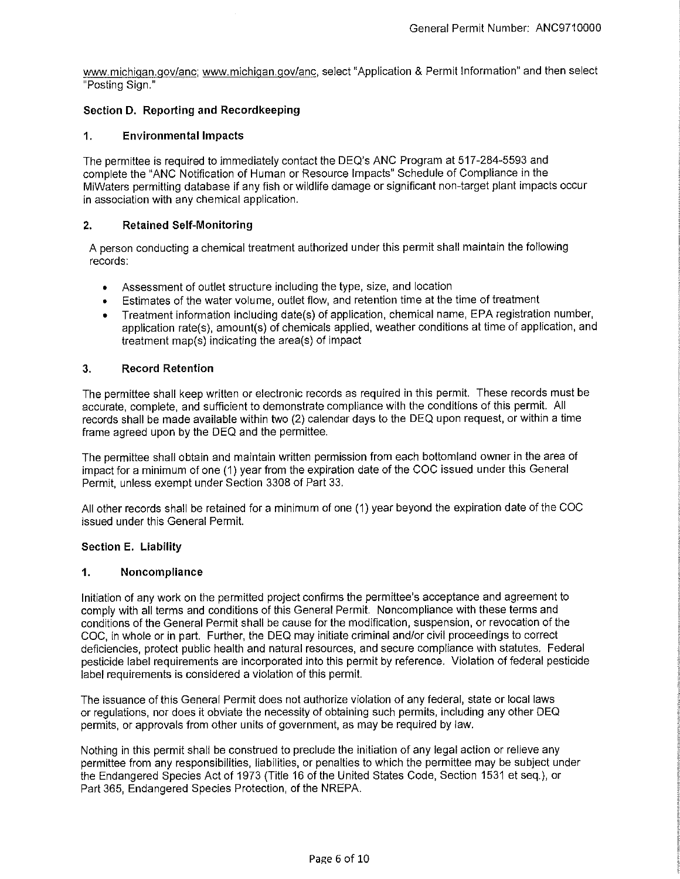www.michigan.gov/anc; www.michigan.gov/anc, select "Application & Permit Information" and then select "Posting Sign."

# **Section D. Reporting and Recordkeeping**

#### **1. Environmental Impacts**

The permittee is required to immediately contact the DEQ's ANG Program at 517-284-5593 and complete the "ANG Notification of Human or Resource Impacts" Schedule of Compliance in the MiWaters permitting database if any fish or wildlife damage or significant non-target plant impacts occur in association with any chemical application.

#### **2. Retained Self-Monitoring**

A person conducting a chemical treatment authorized under this permit shall maintain the following records:

- Assessment of outlet structure including the type, size, and location
- Estimates of the water volume, outlet flow, and retention time at the time of treatment
- Treatment information including date(s) of application, chemical name, EPA registration number, application rate(s), amount(s) of chemicals applied, weather conditions at time of application, and treatment map(s) indicating the area(s) of impact

#### **3. Record Retention**

The permittee shall keep written or electronic records as required in this permit. These records must be accurate, complete, and sufficient to demonstrate compliance with the conditions of this permit. All records shall be made available within two (2) calendar days to the DEQ upon request, or within a time frame agreed upon by the DEQ and the permittee.

The permittee shall obtain and maintain written permission from each bottomland owner in the area of impact for a minimum of one (1) year from the expiration date of the COG issued under this General Permit, unless exempt under Section 3308 of Part 33.

All other records shall be retained for a minimum of one (1) year beyond the expiration date of the COG issued under this General Permit.

#### **Section E. Liability**

#### **1. Noncompliance**

Initiation of any work on the permitted project confirms the permittee's acceptance and agreement to comply with all terms and conditions of this General Permit. Noncompliance with these terms and conditions of the General Permit shall be cause for the modification, suspension, or revocation of the COG, in whole or in part. Further, the DEQ may initiate criminal and/or civil proceedings to correct deficiencies, protect public health and natural resources, and secure compliance with statutes. Federal pesticide label requirements are incorporated into this permit by reference. Violation of federal pesticide label requirements is considered a violation of this permit.

The issuance of this General Permit does not authorize violation of any federal, state or local laws or regulations, nor does it obviate the necessity of obtaining such permits, including any other DEQ permits, or approvals from other units of government, as may be required by law.

Nothing in this permit shall be construed to preclude the initiation of any legal action or relieve any permittee from any responsibilities, liabilities, or penalties to which the permittee may be subject under the Endangered Species Act of 1973 (Title 16 of the United States Code, Section 1531 et seq.), or Part 365, Endangered Species Protection, of the NREPA.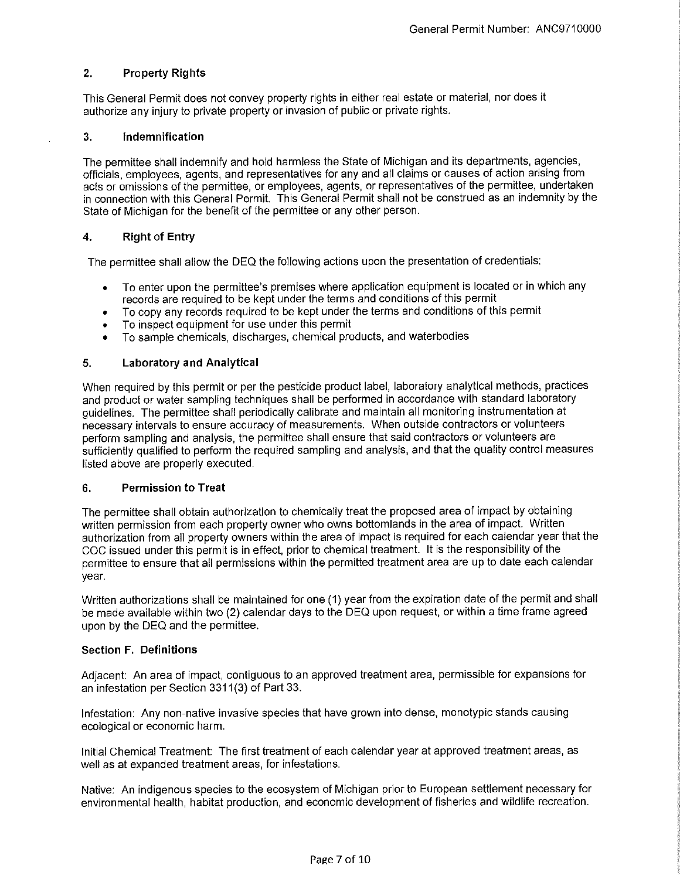# **2. Property Rights**

This General Permit does not convey property rights in either real estate or material, nor does it authorize any injury to private property or invasion of public or private rights.

# **3. Indemnification**

The permittee shall indemnify and hold harmless the State of Michigan and its departments, agencies, officials, employees, agents, and representatives for any and all claims or causes of action arising from acts or omissions of the permittee, or employees, agents, or representatives of the permittee, undertaken in connection with this General Permit. This General Permit shall not be construed as an indemnity by the State of Michigan for the benefit of the permittee or any other person.

# **4. Right of Entry**

The permittee shall allow the DEQ the following actions upon the presentation of credentials:

- To enter upon the permittee's premises where application equipment is located or in which any records are required to be kept under the terms and conditions of this permit
- To copy any records required to be kept under the terms and conditions of this permit
- To inspect equipment for use under this permit
- To sample chemicals, discharges, chemical products, and waterbodies

# **5. Laboratory and Analytical**

When required by this permit or per the pesticide product label, laboratory analytical methods, practices and product or water sampling techniques shall be performed in accordance with standard laboratory guidelines. The permittee shall periodically calibrate and maintain all monitoring instrumentation at necessary intervals to ensure accuracy of measurements. When outside contractors or volunteers perform sampling and analysis, the permittee shall ensure that said contractors or volunteers are sufficiently qualified to perform the required sampling and analysis, and that the quality control measures listed above are properly executed.

# **6. Permission to Treat**

The permittee shall obtain authorization to chemically treat the proposed area of impact by obtaining written permission from each property owner who owns bottom lands in the area of impact. Written authorization from all property owners within the area of impact is required for each calendar year that the COC issued under this permit is in effect, prior to chemical treatment. It is the responsibility of the permittee to ensure that all permissions within the permitted treatment area are up to date each calendar year.

Written authorizations shall be maintained for one **(1)** year from the expiration date of the permit and shall be made available within two (2) calendar days to the DEQ upon request, or within a time frame agreed upon by the DEQ and the permittee.

# **Section F. Definitions**

Adjacent: An area of impact, contiguous to an approved treatment area, permissible for expansions for an infestation per Section 3311(3) of Part 33.

Infestation: Any non-native invasive species that have grown into dense, monotypic stands causing ecological or economic harm.

Initial Chemical Treatment: The first treatment of each calendar year at approved treatment areas, as well as at expanded treatment areas, for infestations.

Native: An indigenous species to the ecosystem of Michigan prior to European settlement necessary for environmental health, habitat production, and economic development of fisheries and wildlife recreation.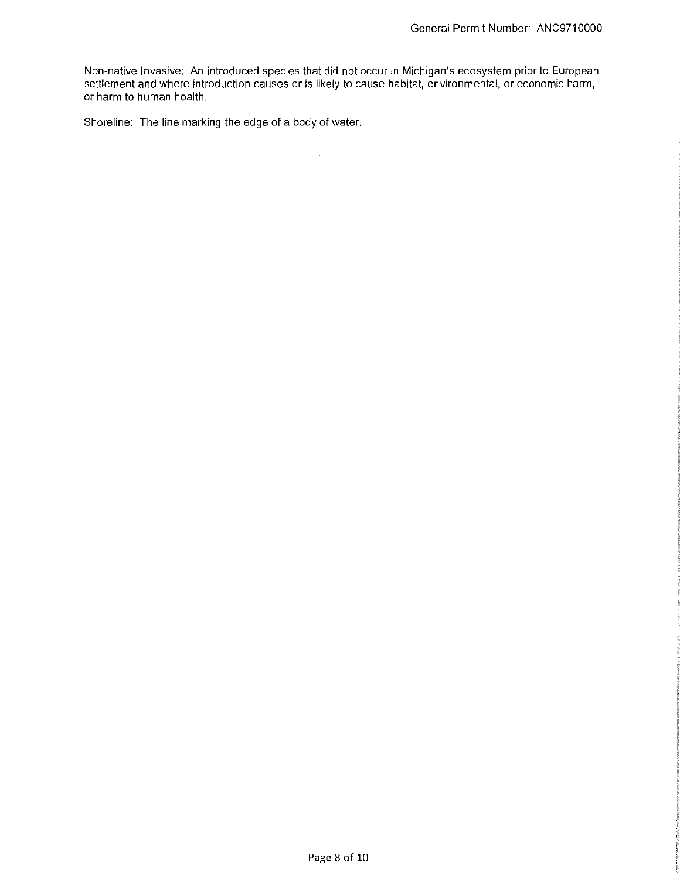Non-native Invasive: An introduced species that did not occur in Michigan's ecosystem prior to European settlement and where introduction causes or is likely to cause habitat, environmental, or economic harm, or harm to human health.

 $\sim 10^6$ 

Shoreline: The line marking the edge of a body of water.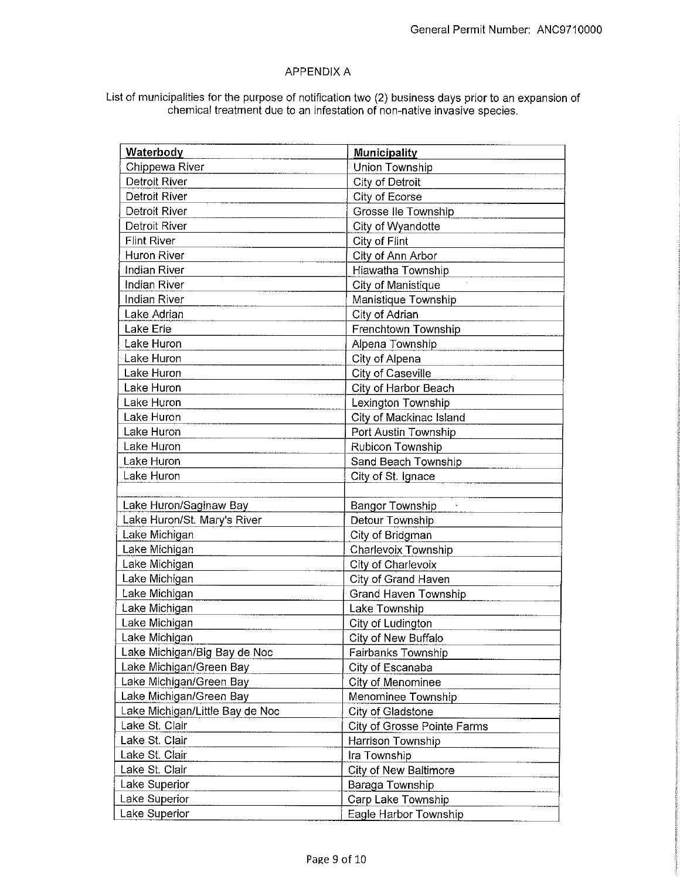# APPENDIX A

# List of municipalities for the purpose of notification two (2) business days prior to an expansion of chemical treatment due to an infestation of non-native invasive species.

| Chippewa River<br><b>Union Township</b><br><b>Detroit River</b><br>City of Detroit<br><b>Detroit River</b><br>City of Ecorse<br>Grosse Ile Township<br>Detroit River<br>Detroit River<br>City of Wyandotte<br><b>Flint River</b><br>City of Flint<br>Huron River<br>City of Ann Arbor<br>Indian River<br>Hiawatha Township<br><b>Indian River</b><br>City of Manistique<br>Indian River<br>Manistique Township<br>City of Adrian<br>Lake Adrian<br>Frenchtown Township<br>Lake Erie<br>Lake Huron<br>Alpena Township<br>Lake Huron<br>City of Alpena<br>Lake Huron<br>City of Caseville<br>Lake Huron<br>City of Harbor Beach<br>Lake Huron<br>Lexington Township<br>Lake Huron<br>City of Mackinac Island<br>Lake Huron<br>Port Austin Township<br>Lake Huron<br>Rubicon Township<br>Lake Huron<br>Sand Beach Township<br>Lake Huron<br>City of St. Ignace<br>Lake Huron/Saginaw Bay<br><b>Bangor Township</b><br>$\mathbf{q}$<br>Lake Huron/St. Mary's River<br>Detour Township<br>Lake Michigan<br>City of Bridgman<br>Lake Michigan<br>Charlevoix Township<br>Lake Michigan<br>City of Charlevoix<br>Lake Michigan<br>City of Grand Haven<br>Lake Michigan<br><b>Grand Haven Township</b><br>Lake Michigan<br>Lake Township<br>Lake Michigan<br>City of Ludington<br>Lake Michigan<br><b>City of New Buffalo</b><br>Lake Michigan/Big Bay de Noc<br>Fairbanks Township<br>Lake Michigan/Green Bay<br>City of Escanaba<br>Lake Michigan/Green Bay<br>City of Menominee<br>Lake Michigan/Green Bay<br>Menominee Township<br>Lake Michigan/Little Bay de Noc<br>City of Gladstone<br>Lake St. Clair<br>City of Grosse Pointe Farms<br>Lake St. Clair<br>Harrison Township<br>Lake St. Clair<br>Ira Township<br>Lake St. Clair<br>City of New Baltimore<br>Lake Superior<br>Baraga Township<br>Lake Superior<br>Carp Lake Township | Waterbody     | <b>Municipality</b>   |
|------------------------------------------------------------------------------------------------------------------------------------------------------------------------------------------------------------------------------------------------------------------------------------------------------------------------------------------------------------------------------------------------------------------------------------------------------------------------------------------------------------------------------------------------------------------------------------------------------------------------------------------------------------------------------------------------------------------------------------------------------------------------------------------------------------------------------------------------------------------------------------------------------------------------------------------------------------------------------------------------------------------------------------------------------------------------------------------------------------------------------------------------------------------------------------------------------------------------------------------------------------------------------------------------------------------------------------------------------------------------------------------------------------------------------------------------------------------------------------------------------------------------------------------------------------------------------------------------------------------------------------------------------------------------------------------------------------------------------------------------------------------------------------------------------------------------------------|---------------|-----------------------|
|                                                                                                                                                                                                                                                                                                                                                                                                                                                                                                                                                                                                                                                                                                                                                                                                                                                                                                                                                                                                                                                                                                                                                                                                                                                                                                                                                                                                                                                                                                                                                                                                                                                                                                                                                                                                                                    |               |                       |
|                                                                                                                                                                                                                                                                                                                                                                                                                                                                                                                                                                                                                                                                                                                                                                                                                                                                                                                                                                                                                                                                                                                                                                                                                                                                                                                                                                                                                                                                                                                                                                                                                                                                                                                                                                                                                                    |               |                       |
|                                                                                                                                                                                                                                                                                                                                                                                                                                                                                                                                                                                                                                                                                                                                                                                                                                                                                                                                                                                                                                                                                                                                                                                                                                                                                                                                                                                                                                                                                                                                                                                                                                                                                                                                                                                                                                    |               |                       |
|                                                                                                                                                                                                                                                                                                                                                                                                                                                                                                                                                                                                                                                                                                                                                                                                                                                                                                                                                                                                                                                                                                                                                                                                                                                                                                                                                                                                                                                                                                                                                                                                                                                                                                                                                                                                                                    |               |                       |
|                                                                                                                                                                                                                                                                                                                                                                                                                                                                                                                                                                                                                                                                                                                                                                                                                                                                                                                                                                                                                                                                                                                                                                                                                                                                                                                                                                                                                                                                                                                                                                                                                                                                                                                                                                                                                                    |               |                       |
|                                                                                                                                                                                                                                                                                                                                                                                                                                                                                                                                                                                                                                                                                                                                                                                                                                                                                                                                                                                                                                                                                                                                                                                                                                                                                                                                                                                                                                                                                                                                                                                                                                                                                                                                                                                                                                    |               |                       |
|                                                                                                                                                                                                                                                                                                                                                                                                                                                                                                                                                                                                                                                                                                                                                                                                                                                                                                                                                                                                                                                                                                                                                                                                                                                                                                                                                                                                                                                                                                                                                                                                                                                                                                                                                                                                                                    |               |                       |
|                                                                                                                                                                                                                                                                                                                                                                                                                                                                                                                                                                                                                                                                                                                                                                                                                                                                                                                                                                                                                                                                                                                                                                                                                                                                                                                                                                                                                                                                                                                                                                                                                                                                                                                                                                                                                                    |               |                       |
|                                                                                                                                                                                                                                                                                                                                                                                                                                                                                                                                                                                                                                                                                                                                                                                                                                                                                                                                                                                                                                                                                                                                                                                                                                                                                                                                                                                                                                                                                                                                                                                                                                                                                                                                                                                                                                    |               |                       |
|                                                                                                                                                                                                                                                                                                                                                                                                                                                                                                                                                                                                                                                                                                                                                                                                                                                                                                                                                                                                                                                                                                                                                                                                                                                                                                                                                                                                                                                                                                                                                                                                                                                                                                                                                                                                                                    |               |                       |
|                                                                                                                                                                                                                                                                                                                                                                                                                                                                                                                                                                                                                                                                                                                                                                                                                                                                                                                                                                                                                                                                                                                                                                                                                                                                                                                                                                                                                                                                                                                                                                                                                                                                                                                                                                                                                                    |               |                       |
|                                                                                                                                                                                                                                                                                                                                                                                                                                                                                                                                                                                                                                                                                                                                                                                                                                                                                                                                                                                                                                                                                                                                                                                                                                                                                                                                                                                                                                                                                                                                                                                                                                                                                                                                                                                                                                    |               |                       |
|                                                                                                                                                                                                                                                                                                                                                                                                                                                                                                                                                                                                                                                                                                                                                                                                                                                                                                                                                                                                                                                                                                                                                                                                                                                                                                                                                                                                                                                                                                                                                                                                                                                                                                                                                                                                                                    |               |                       |
|                                                                                                                                                                                                                                                                                                                                                                                                                                                                                                                                                                                                                                                                                                                                                                                                                                                                                                                                                                                                                                                                                                                                                                                                                                                                                                                                                                                                                                                                                                                                                                                                                                                                                                                                                                                                                                    |               |                       |
|                                                                                                                                                                                                                                                                                                                                                                                                                                                                                                                                                                                                                                                                                                                                                                                                                                                                                                                                                                                                                                                                                                                                                                                                                                                                                                                                                                                                                                                                                                                                                                                                                                                                                                                                                                                                                                    |               |                       |
|                                                                                                                                                                                                                                                                                                                                                                                                                                                                                                                                                                                                                                                                                                                                                                                                                                                                                                                                                                                                                                                                                                                                                                                                                                                                                                                                                                                                                                                                                                                                                                                                                                                                                                                                                                                                                                    |               |                       |
|                                                                                                                                                                                                                                                                                                                                                                                                                                                                                                                                                                                                                                                                                                                                                                                                                                                                                                                                                                                                                                                                                                                                                                                                                                                                                                                                                                                                                                                                                                                                                                                                                                                                                                                                                                                                                                    |               |                       |
|                                                                                                                                                                                                                                                                                                                                                                                                                                                                                                                                                                                                                                                                                                                                                                                                                                                                                                                                                                                                                                                                                                                                                                                                                                                                                                                                                                                                                                                                                                                                                                                                                                                                                                                                                                                                                                    |               |                       |
|                                                                                                                                                                                                                                                                                                                                                                                                                                                                                                                                                                                                                                                                                                                                                                                                                                                                                                                                                                                                                                                                                                                                                                                                                                                                                                                                                                                                                                                                                                                                                                                                                                                                                                                                                                                                                                    |               |                       |
|                                                                                                                                                                                                                                                                                                                                                                                                                                                                                                                                                                                                                                                                                                                                                                                                                                                                                                                                                                                                                                                                                                                                                                                                                                                                                                                                                                                                                                                                                                                                                                                                                                                                                                                                                                                                                                    |               |                       |
|                                                                                                                                                                                                                                                                                                                                                                                                                                                                                                                                                                                                                                                                                                                                                                                                                                                                                                                                                                                                                                                                                                                                                                                                                                                                                                                                                                                                                                                                                                                                                                                                                                                                                                                                                                                                                                    |               |                       |
|                                                                                                                                                                                                                                                                                                                                                                                                                                                                                                                                                                                                                                                                                                                                                                                                                                                                                                                                                                                                                                                                                                                                                                                                                                                                                                                                                                                                                                                                                                                                                                                                                                                                                                                                                                                                                                    |               |                       |
|                                                                                                                                                                                                                                                                                                                                                                                                                                                                                                                                                                                                                                                                                                                                                                                                                                                                                                                                                                                                                                                                                                                                                                                                                                                                                                                                                                                                                                                                                                                                                                                                                                                                                                                                                                                                                                    |               |                       |
|                                                                                                                                                                                                                                                                                                                                                                                                                                                                                                                                                                                                                                                                                                                                                                                                                                                                                                                                                                                                                                                                                                                                                                                                                                                                                                                                                                                                                                                                                                                                                                                                                                                                                                                                                                                                                                    |               |                       |
|                                                                                                                                                                                                                                                                                                                                                                                                                                                                                                                                                                                                                                                                                                                                                                                                                                                                                                                                                                                                                                                                                                                                                                                                                                                                                                                                                                                                                                                                                                                                                                                                                                                                                                                                                                                                                                    |               |                       |
|                                                                                                                                                                                                                                                                                                                                                                                                                                                                                                                                                                                                                                                                                                                                                                                                                                                                                                                                                                                                                                                                                                                                                                                                                                                                                                                                                                                                                                                                                                                                                                                                                                                                                                                                                                                                                                    |               |                       |
|                                                                                                                                                                                                                                                                                                                                                                                                                                                                                                                                                                                                                                                                                                                                                                                                                                                                                                                                                                                                                                                                                                                                                                                                                                                                                                                                                                                                                                                                                                                                                                                                                                                                                                                                                                                                                                    |               |                       |
|                                                                                                                                                                                                                                                                                                                                                                                                                                                                                                                                                                                                                                                                                                                                                                                                                                                                                                                                                                                                                                                                                                                                                                                                                                                                                                                                                                                                                                                                                                                                                                                                                                                                                                                                                                                                                                    |               |                       |
|                                                                                                                                                                                                                                                                                                                                                                                                                                                                                                                                                                                                                                                                                                                                                                                                                                                                                                                                                                                                                                                                                                                                                                                                                                                                                                                                                                                                                                                                                                                                                                                                                                                                                                                                                                                                                                    |               |                       |
|                                                                                                                                                                                                                                                                                                                                                                                                                                                                                                                                                                                                                                                                                                                                                                                                                                                                                                                                                                                                                                                                                                                                                                                                                                                                                                                                                                                                                                                                                                                                                                                                                                                                                                                                                                                                                                    |               |                       |
|                                                                                                                                                                                                                                                                                                                                                                                                                                                                                                                                                                                                                                                                                                                                                                                                                                                                                                                                                                                                                                                                                                                                                                                                                                                                                                                                                                                                                                                                                                                                                                                                                                                                                                                                                                                                                                    |               |                       |
|                                                                                                                                                                                                                                                                                                                                                                                                                                                                                                                                                                                                                                                                                                                                                                                                                                                                                                                                                                                                                                                                                                                                                                                                                                                                                                                                                                                                                                                                                                                                                                                                                                                                                                                                                                                                                                    |               |                       |
|                                                                                                                                                                                                                                                                                                                                                                                                                                                                                                                                                                                                                                                                                                                                                                                                                                                                                                                                                                                                                                                                                                                                                                                                                                                                                                                                                                                                                                                                                                                                                                                                                                                                                                                                                                                                                                    |               |                       |
|                                                                                                                                                                                                                                                                                                                                                                                                                                                                                                                                                                                                                                                                                                                                                                                                                                                                                                                                                                                                                                                                                                                                                                                                                                                                                                                                                                                                                                                                                                                                                                                                                                                                                                                                                                                                                                    |               |                       |
|                                                                                                                                                                                                                                                                                                                                                                                                                                                                                                                                                                                                                                                                                                                                                                                                                                                                                                                                                                                                                                                                                                                                                                                                                                                                                                                                                                                                                                                                                                                                                                                                                                                                                                                                                                                                                                    |               |                       |
|                                                                                                                                                                                                                                                                                                                                                                                                                                                                                                                                                                                                                                                                                                                                                                                                                                                                                                                                                                                                                                                                                                                                                                                                                                                                                                                                                                                                                                                                                                                                                                                                                                                                                                                                                                                                                                    |               |                       |
|                                                                                                                                                                                                                                                                                                                                                                                                                                                                                                                                                                                                                                                                                                                                                                                                                                                                                                                                                                                                                                                                                                                                                                                                                                                                                                                                                                                                                                                                                                                                                                                                                                                                                                                                                                                                                                    |               |                       |
|                                                                                                                                                                                                                                                                                                                                                                                                                                                                                                                                                                                                                                                                                                                                                                                                                                                                                                                                                                                                                                                                                                                                                                                                                                                                                                                                                                                                                                                                                                                                                                                                                                                                                                                                                                                                                                    |               |                       |
|                                                                                                                                                                                                                                                                                                                                                                                                                                                                                                                                                                                                                                                                                                                                                                                                                                                                                                                                                                                                                                                                                                                                                                                                                                                                                                                                                                                                                                                                                                                                                                                                                                                                                                                                                                                                                                    |               |                       |
|                                                                                                                                                                                                                                                                                                                                                                                                                                                                                                                                                                                                                                                                                                                                                                                                                                                                                                                                                                                                                                                                                                                                                                                                                                                                                                                                                                                                                                                                                                                                                                                                                                                                                                                                                                                                                                    |               |                       |
|                                                                                                                                                                                                                                                                                                                                                                                                                                                                                                                                                                                                                                                                                                                                                                                                                                                                                                                                                                                                                                                                                                                                                                                                                                                                                                                                                                                                                                                                                                                                                                                                                                                                                                                                                                                                                                    |               |                       |
|                                                                                                                                                                                                                                                                                                                                                                                                                                                                                                                                                                                                                                                                                                                                                                                                                                                                                                                                                                                                                                                                                                                                                                                                                                                                                                                                                                                                                                                                                                                                                                                                                                                                                                                                                                                                                                    |               |                       |
|                                                                                                                                                                                                                                                                                                                                                                                                                                                                                                                                                                                                                                                                                                                                                                                                                                                                                                                                                                                                                                                                                                                                                                                                                                                                                                                                                                                                                                                                                                                                                                                                                                                                                                                                                                                                                                    |               |                       |
|                                                                                                                                                                                                                                                                                                                                                                                                                                                                                                                                                                                                                                                                                                                                                                                                                                                                                                                                                                                                                                                                                                                                                                                                                                                                                                                                                                                                                                                                                                                                                                                                                                                                                                                                                                                                                                    |               |                       |
|                                                                                                                                                                                                                                                                                                                                                                                                                                                                                                                                                                                                                                                                                                                                                                                                                                                                                                                                                                                                                                                                                                                                                                                                                                                                                                                                                                                                                                                                                                                                                                                                                                                                                                                                                                                                                                    | Lake Superior | Eagle Harbor Township |